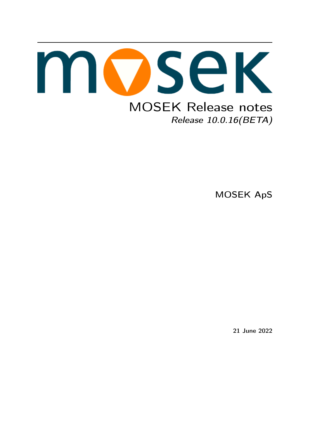

MOSEK ApS

21 June 2022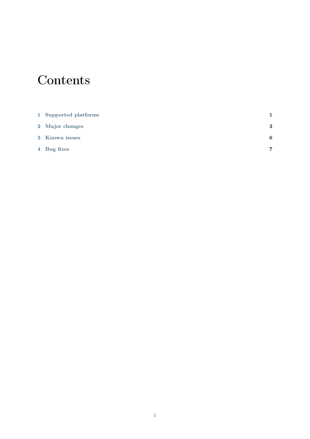# **Contents**

| 1 Supported platforms |   |
|-----------------------|---|
| 2 Major changes       | 3 |
| 3 Known issues        | 6 |
| 4 Bug fixes           | 7 |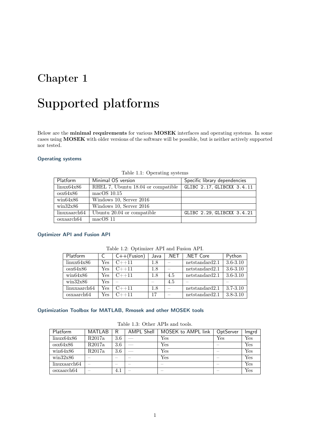# <span id="page-2-0"></span>Supported platforms

Below are the minimal requirements for various MOSEK interfaces and operating systems. In some cases using MOSEK with older versions of the software will be possible, but is neither actively supported nor tested.

#### Operating systems

| Platform                    | Minimal OS version                 | Specific library dependencies |
|-----------------------------|------------------------------------|-------------------------------|
| $\text{linux}64\text{x}86$  | RHEL 7, Ubuntu 18.04 or compatible | GLIBC 2.17, GLIBCXX 3.4.11    |
| $\cos x 64x 86$             | $macOS$ 10.15                      |                               |
| win64x86                    | Windows 10, Server 2016            |                               |
| $\frac{\text{win32x86}}{2}$ | Windows 10, Server 2016            |                               |
| linuxaarch64                | Ubuntu 20.04 or compatible         | GLIBC 2.29, GLIBCXX 3.4.21    |
| osxaarch64                  | macOS11                            |                               |

Table 1.1: Operating systems

#### Optimizer API and Fusion API

| Platform                    |     | $C++(Fusion)$ | Java | .NET | NET Core       | Python       |  |
|-----------------------------|-----|---------------|------|------|----------------|--------------|--|
| $\text{linux}64\text{x}86$  | Yes | $C_{++}11$    | 1.8  |      | netstandard2.1 | $3.6 - 3.10$ |  |
| $\cos x 64x 86$             | Yes | $C_{++}11$    | 1.8  |      | netstandard2.1 | $3.6 - 3.10$ |  |
| win64x86                    | Yes | $C_{++}11$    | 1.8  | 4.5  | netstandard2.1 | $3.6 - 3.10$ |  |
| $\frac{\text{win32x86}}{2}$ | Yes |               |      | 4.5  |                |              |  |
| linuxaarch64                | Yes | $C_{++}11$    | 1.8  |      | netstandard2.1 | $3.7 - 3.10$ |  |
| osxaarch64                  | Yes | $C_{++}$ 11   | 17   |      | netstandard2.1 | $3.8 - 3.10$ |  |

#### Optimization Toolbox for MATLAB, Rmosek and other MOSEK tools

| Platform                    | MATLAB                   | R                        | <b>AMPL Shell</b>        | MOSEK to AMPL link | OptServer                | Imgrd |
|-----------------------------|--------------------------|--------------------------|--------------------------|--------------------|--------------------------|-------|
| $\text{linux}64\text{x}86$  | R2017a                   | 3.6                      |                          | Yes                | Yes                      | Yes   |
| cosx64x86                   | R2017a                   | 3.6                      |                          | Yes                | $\overline{\phantom{a}}$ | Yes   |
| win64x86                    | R2017a                   | 3.6                      |                          | Yes                | $\overline{\phantom{a}}$ | Yes   |
| $\frac{\text{win32x86}}{2}$ | _                        | $\overline{\phantom{a}}$ | $\overline{\phantom{a}}$ | Yes                | $\overline{\phantom{a}}$ | Yes   |
| linuxaarch64                | -                        |                          | _                        |                    | $\overline{\phantom{a}}$ | Yes   |
| osxaarch64                  | $\overline{\phantom{a}}$ | 4.1                      | $\overline{\phantom{a}}$ |                    | $\overline{\phantom{a}}$ | Yes   |

Table 1.3: Other APIs and tools.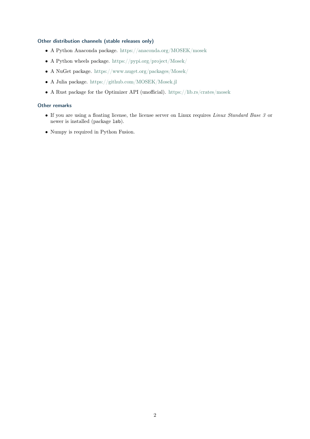#### Other distribution channels (stable releases only)

- A Python Anaconda package. <https://anaconda.org/MOSEK/mosek>
- A Python wheels package. <https://pypi.org/project/Mosek/>
- A NuGet package. <https://www.nuget.org/packages/Mosek/>
- A Julia package. <https://github.com/MOSEK/Mosek.jl>
- $\bullet$  A Rust package for the Optimizer API (unofficial). <https://lib.rs/crates/mosek>

#### Other remarks

- If you are using a floating license, the license server on Linux requires Linux Standard Base 3 or newer is installed (package lsb).
- Numpy is required in Python Fusion.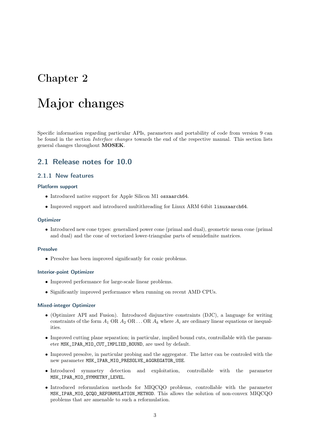## <span id="page-4-0"></span>Major changes

Specific information regarding particular APIs, parameters and portability of code from version 9 can be found in the section Interface changes towards the end of the respective manual. This section lists general changes throughout MOSEK.

#### 2.1 Release notes for 10.0

#### 2.1.1 New features

#### Platform support

- Introduced native support for Apple Silicon M1 osxaarch64.
- Improved support and introduced multithreading for Linux ARM 64bit linuxaarch64.

#### **Optimizer**

• Introduced new cone types: generalized power cone (primal and dual), geometric mean cone (primal and dual) and the cone of vectorized lower-triangular parts of semidefinite matrices.

#### Presolve

• Presolve has been improved significantly for conic problems.

#### Interior-point Optimizer

- Improved performance for large-scale linear problems.
- Significantly improved performance when running on recent AMD CPUs.

#### Mixed-integer Optimizer

- (Optimizer API and Fusion). Introduced disjunctive constraints (DJC), a language for writing constraints of the form  $A_1$  OR  $A_2$  OR ... OR  $A_k$  where  $A_i$  are ordinary linear equations or inequalities.
- Improved cutting plane separation; in particular, implied bound cuts, controllable with the parameter MSK\_IPAR\_MIO\_CUT\_IMPLIED\_BOUND, are used by default.
- Improved presolve, in particular probing and the aggregator. The latter can be controled with the new parameter MSK\_IPAR\_MIO\_PRESOLVE\_AGGREGATOR\_USE.
- Introduced symmetry detection and exploitation, controllable with the parameter MSK\_IPAR\_MIO\_SYMMETRY\_LEVEL.
- Introduced reformulation methods for MIQCQO problems, controllable with the parameter MSK\_IPAR\_MIO\_QCQO\_REFORMULATION\_METHOD. This allows the solution of non-convex MIQCQO problems that are amenable to such a reformulation.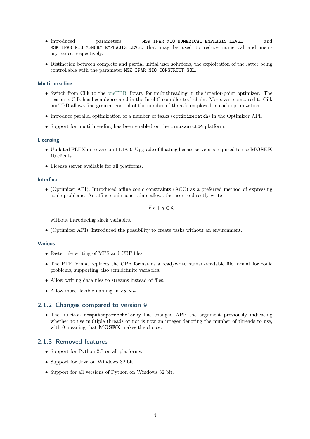- Introduced parameters MSK\_IPAR\_MIO\_NUMERICAL\_EMPHASIS\_LEVEL and MSK\_IPAR\_MIO\_MEMORY\_EMPHASIS\_LEVEL that may be used to reduce numerical and memory issues, respectively.
- Distinction between complete and partial initial user solutions, the exploitation of the latter being controllable with the parameter MSK\_IPAR\_MIO\_CONSTRUCT\_SOL.

#### Multithreading

- Switch from Cilk to the [oneTBB](https://github.com/oneapi-src/oneTBB) library for multithreading in the interior-point optimizer. The reason is Cilk has been deprecated in the Intel C compiler tool chain. Moreover, compared to Cilk oneTBB allows fine grained control of the number of threads employed in each optimization.
- Introduce parallel optimization of a number of tasks (optimizebatch) in the Optimizer API.
- Support for multithreading has been enabled on the linuxaarch64 platform.

#### Licensing

- Updated FLEXlm to version 11.18.3. Upgrade of floating license servers is required to use MOSEK 10 clients.
- License server available for all platforms.

#### Interface

• (Optimizer API). Introduced affine conic constraints (ACC) as a preferred method of expressing conic problems. An affine conic constraints allows the user to directly write

 $Fx + q \in \mathcal{K}$ 

without introducing slack variables.

• (Optimizer API). Introduced the possibility to create tasks without an environment.

#### Various

- Faster file writing of MPS and CBF files.
- The PTF format replaces the OPF format as a read/write human-readable file format for conic problems, supporting also semidefinite variables.
- Allow writing data files to streams instead of files.
- Allow more flexible naming in Fusion.

#### 2.1.2 Changes compared to version 9

• The function computesparsecholesky has changed API: the argument previously indicating whether to use multiple threads or not is now an integer denoting the number of threads to use, with 0 meaning that **MOSEK** makes the choice.

#### 2.1.3 Removed features

- Support for Python 2.7 on all platforms.
- Support for Java on Windows 32 bit.
- Support for all versions of Python on Windows 32 bit.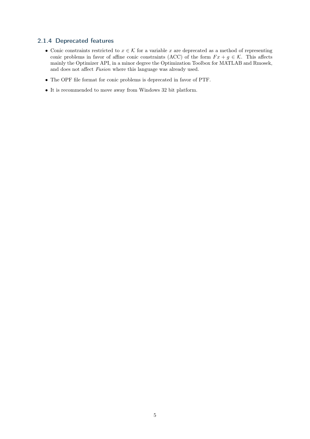#### 2.1.4 Deprecated features

- Conic constraints restricted to  $x \in \mathcal{K}$  for a variable x are deprecated as a method of representing conic problems in favor of affine conic constraints (ACC) of the form  $Fx + g \in \mathcal{K}$ . This affects mainly the Optimizer API, in a minor degree the Optimization Toolbox for MATLAB and Rmosek, and does not affect Fusion where this language was already used.
- The OPF file format for conic problems is deprecated in favor of PTF.
- It is recommended to move away from Windows 32 bit platform.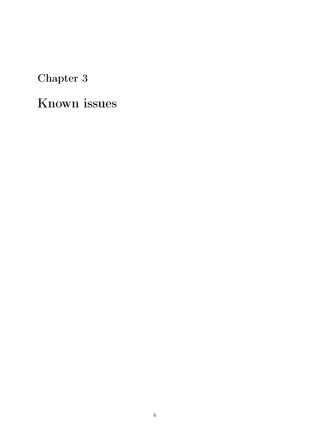# <span id="page-7-0"></span>Known issues